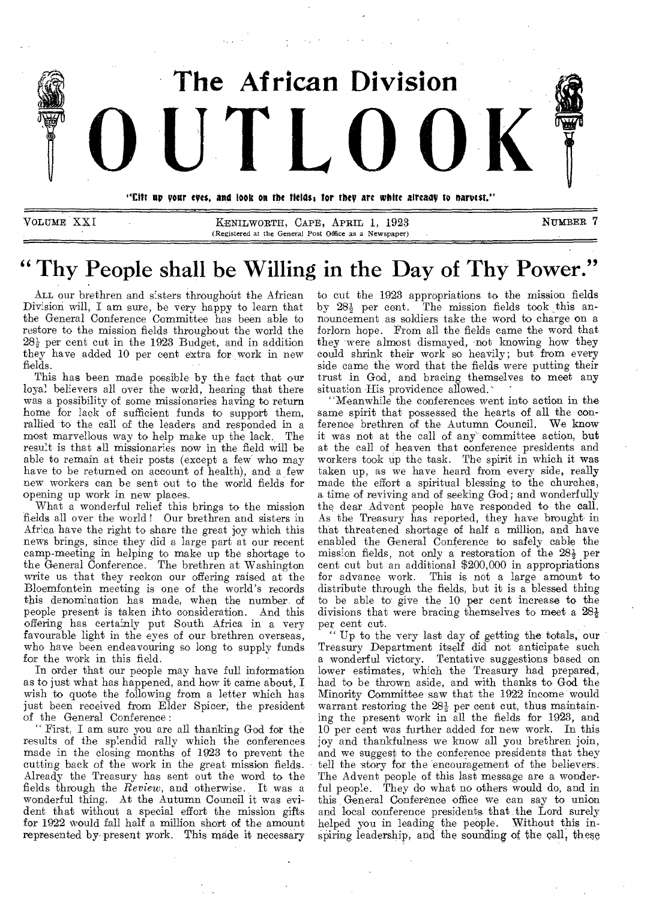

**" Thy People shall be Willing in the Day of Thy Power."** 

(Registered at the General Post Office as a Newspaper)

ALL our brethren and sisters throughout the African Division will, I am sure, be very happy to learn that the General Conference Committee has been able to restore to the mission fields throughout the world the  $28\frac{1}{2}$  per cent cut in the 1923 Budget, and in addition they have added 10 per cent extra for work in new fields.

This has been made possible by the fact that our loyal believers all over the world, hearing that there was a possibility of some missionaries having to return home for lack of sufficient funds to support them, rallied to the call of the leaders and responded in a most marvellous way to help make up the lack. The result is that all missionaries now in the field will be able to remain at their posts (except a few who may have to be returned on account of health), and a few new workers can be sent out to the world fields for opening up work in new places.

What a wonderful relief this brings to the mission fields all over the world! Our brethren and sisters in Africa have the right to share the great joy which this news brings, since they did a large part at our recent camp-meeting in helping to make up the shortage to the General Conference. The brethren at Washington write us that they reckon our offering raised at the Bloemfontein meeting is one of the world's records this denomination has made, when the number, of people present is taken ihto consideration. And this offering has certainly put South Africa in a very favourable light in the eyes of our brethren overseas, who have been endeavouring so long to supply funds for the work in this field.

In order that our people may have full information as to just what has happened, and how it came about, I wish to quote the following from a letter which has just been received from Elder Spicer, the president of the General Conference :

" First, I am sure you are all thanking God for the results of the splendid rally which the conferences made in the closing months of 1923 to prevent the cutting back of the work in the great mission fields. Already the Treasury has sent out the word to the fields through the *Review,* and otherwise. It was a wonderful thing. At the Autumn Council it was evident that without a special effort the mission gifts for 1922 would fall half a million short of the amount represented by-present work. This made it necessary

to cut the 1923 appropriations to the mission fields by  $28\frac{1}{2}$  per cent. The mission fields took this announcement as soldiers take the word to charge on a forlorn hope. From all the fields came the word that they were almost dismayed, not knowing how they could shrink their work so heavily; but from every side came the word that the fields were putting their trust in God, and bracing themselves to meet any situation His providence allowed.

"Meanwhile the conferences went into action in the same spirit that possessed the hearts of all the conference brethren of the Autumn Council. We know it was not at the call of any committee action, but at the call of heaven that conference presidents and workers took up the task. The spirit in which it was taken up, as we have heard from every side, really made the effort a spiritual blessing to the churches, a time of reviving and of seeking God; and wonderfully the dear Advent people have responded to the call. As the Treasury has reported, they have brought in that threatened shortage of half a million, and have enabled the General Conference to safely cable the mission fields, not only a restoration of the  $28\frac{1}{2}$  per cent cut but an additional \$200,000 in appropriations for advance work. This is not a large amount to distribute through the fields, but it is a blessed thing to be able to give the 10 per cent increase to the divisions that were bracing themselves to meet a  $28\frac{1}{2}$ per cent cut.

" Up to the very last day of getting the totals, our Treasury Department itself did not anticipate such a wonderful victory. Tentative suggestions based on lower estimates, which the Treasury had prepared, had to be thrown aside, and with thanks to God the Minority Committee saw that the 1922 income would warrant restoring the  $28\frac{1}{2}$  per cent cut, thus maintaining the present work in all the fields for 1923, and 10 per cent was further added for new work. In this joy and thankfulness we know all you brethren join, and we suggest to the conference presidents that they tell the story for the encouragement of the believers. The Advent people of this last message are a wonderful people. They do what no others would do, and in this General Conference office we can say to union and local conference presidents that the Lord surely helped you in leading the people. Without this inspiring leadership, and the sounding of the call, these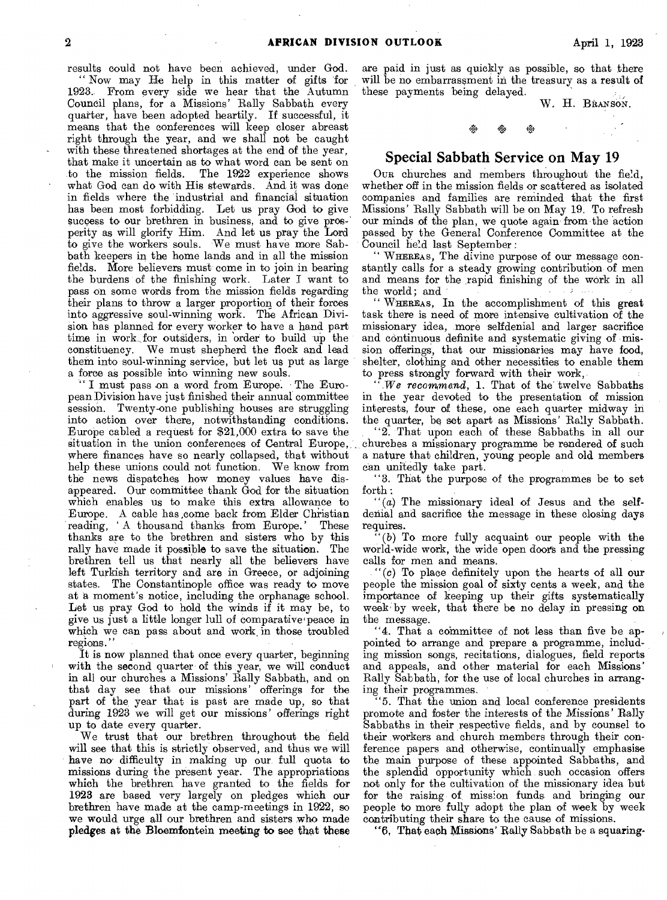results could not have been achieved, under God. " Now may He help in this matter of gifts 'for 1923.. From every side we hear that the Autumn Council plans, for a Missions' Rally Sabbath every quarter, have been adopted heartily. If successful, it means that the conferences will keep closer abreast right through the year, and we shall not be caught with these threatened shortages at the end of the year, that make it uncertain as to what word can be sent on to the mission fields. The 1922 experience shows what God can do with His stewards. And it was done in fields where the industrial and financial situation has been most forbidding. Let us pray God to give success to our brethren in business, and to give prosperity as will glorify Him. And let us pray the Lord to give the workers souls. We must have more Sabbath keepers in the home lands and in all the mission fields. More believers must come in to join in bearing the burdens of the finishing work. Later I want to pass on some words from the mission fields regarding their plans to throw a larger proportion of their forces into aggressive soul-winning work. The African Division has planned for every worker to have a hand part time in work ,for outsiders, in order to build up the constituency. We must shepherd the flock and lead them into soul-winning service, but let us put as large a force as possible into winning new souls.

I must pass on a word from Europe. The European Division have just finished their annual committee session. Twenty-one publishing houses are struggling into action over there, notwithstanding conditions. Europe cabled a request for \$21,000 extra to save the situation in the union conferences of Central Europe, where finances have so nearly collapsed, that without help these unions could not function. We know from the news dispatches how money values have disappeared. Our committee thank God for the situation which enables us to make this extra allowance to Europe. A cable has come back from Elder Christian reading, A thousand thanks from Europe.' These thanks are to the brethren and sisters who by this rally have made it possible to save the situation. The brethren tell us that nearly all the believers have left Turkish territory and are in Greece, or adjoining states. The Constantinople office was ready to move at a moment's notice, including the orphanage school. Let us pray God to hold the winds if it may be, to give us just a little longer lull of comparative peace in which we can pass about and work in those troubled regions.

It is now planned that once every quarter, beginning with the second quarter of this year, we will conduct in all our churches a Missions' Rally Sabbath, and on that day see that our missions' offerings for the part of the, year that is past are made up, so that during 1923 we will get our missions' offerings right up to date every quarter.

We trust that our brethren throughout the field will see that this is strictly observed, and thus we will have no- difficulty in making up our, full quota to missions during the present year. The appropriations which the brethren have granted to the fields for 1923 are based very largely on pledges which our brethren have made at the camp-meetings in 1922, so we would urge all our brethren and sisters who made pledges at the Bloemfontein meeting to see that these

are paid in just as quickly as possible, so that there will be no embarrassment in the treasury as a result of these payments being delayed. W. H. BRANSON.

## **Special Sabbath Service on May 19**

44 1\*

OUR churches and members throughout the field, whether off in the mission fields or scattered as isolated companies and families are reminded that the first Missions' Rally Sabbath will be on May 19. To refresh our minds of the plan, we quote again from the action passed by the General Conference Committee at the Council held last September :

" WHEREAS, The divine purpose of our message constantly calls for a steady growing contribution of men and means for the ,rapid finishing of the work in all the world; and

" WHEREAS, In the accomplishment of this great task there is need of more intensive cultivation of the missionary idea, more selfdenial and larger sacrifice and continuous definite and systematic giving of mission offerings, that our missionaries may have food, shelter, clothing and other necessities to enable them to press strongly forward with their work,

*".We recommend,* 1. That of the twelve Sabbaths in the year devoted to the presentation of mission interests, four of these, one each quarter midway in the quarter, be set apart as Missions' Rally Sabbath.

"2. That upon each of these Sabbaths in all our churches a missionary programme be rendered of such a nature that children, young people and old members can unitedly take part.

"3. That the purpose of the programmes be to set forth :

 $'(a)$  The missionary ideal of Jesus and the selfdenial and sacrifice the message in these closing days requires.

 $(b)$  To more fully acquaint our people with the world-wide work, the wide open doors and the pressing calls for men and means.

"(c) To place definitely upon the hearts of all our people the mission goal of sixty cents a week, and the importance of keeping up their gifts systematically week' by week, that there be no delay in pressing on the message.

"4. That a committee of not less than five be appointed to arrange and prepare a programme, including mission songs, recitations, dialogues, field reports and appeals, and other material for each Missions' Rally Sabbath, for the use of local churches in arranging their programmes.

5. That the union and local conference presidents promote and foster the interests of the Missions' Rally Sabbaths in their respective fields, and by counsel to their workers and church members through their conference papers and otherwise, continually emphasise the main purpose of these appointed Sabbaths, and the splendid opportunity which suoh occasion offers not only for the cultivation of the missionary idea but for the raising of mission funds and bringing our people to more fully adopt the plan of week by week contributing their share to the cause of missions.

"6, That each Missions' Rally Sabbath be a squaring-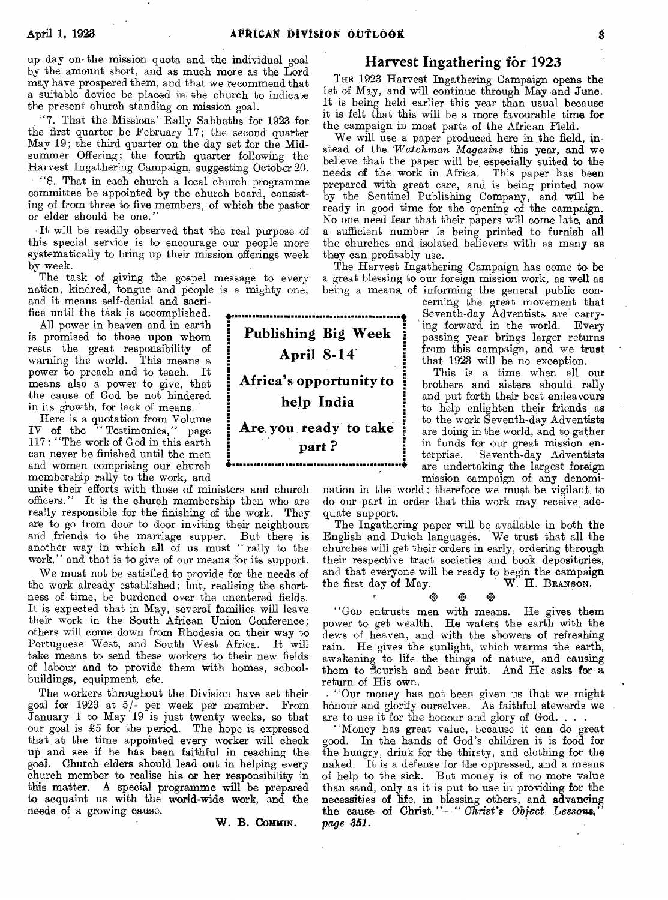up day on• the mission quota and the individual goal by the amount short, and as much more as the Lord may have prospered them, and that we recommend that a suitable device be placed in the church to indicate the present church standing on mission goal.

"7. That the Missions' Rally Sabbaths for 1923 for the first quarter be February 17; the second quarter May 19; the third quarter on the day set for the Midsummer Offering; the fourth quarter following the Harvest Ingathering Campaign, suggesting October 20.

"8. That in each church a local church programme committee be appointed by the church board, consisting of from three to five members, of which the pastor or elder should be one.

It will be readily observed that the real purpose of this special service is to encourage our people more systematically to bring up their mission offerings week by week.

The task of giving the gospel message to every nation, kindred, tongue and people is a mighty one,

and it means self-denial and sacrifice until the task is accomplished. All power in heaven and in earth

is promised to those upon whom rests the great responsibility of warning the world. This means a power to preach and to teach. It means also a power to give, that the cause of God be not hindered in its growth, for lack of means.

Here is a quotation from Volume IV of the " Testimonies," page 117: "The work of God in this earth can never be finished until the men and women comprising our church membership rally to the work, and

unite their efforts with those of ministers and church officers." It is the church membership then who are really responsible for the finishing of the work. They are to go from door to door inviting their neighbours and friends to the marriage supper. But there is another way in which all of us must "rally to the work," and that is to give of our means for its support.

We must not be satisfied to provide for the needs of the work already established; but, realising the shortness of time, be burdened over the unentered fields. It is expected that in May, several families will leave their work in the South African Union Conference; others will come down from Rhodesia on their way to Portuguese West, and South West Africa. It will take means to send these workers to their new fields of labour and to provide them with homes, schoolbuildings, equipment, etc.

The workers throughout the Division have set their goal far 1923 at 5/- per week per member. From January 1 to May 19 is just twenty weeks, so that our goal is  $£5$  for the period. The hope is expressed that at the time appointed every worker will check up and see if he has been faithful in reaching the goal. Church elders should lead out in helping every church member to realise his or her responsibility in this matter. A special programme will be prepared to acquaint us with the world-wide work, and the needs of a growing cause.

W. B. **COMMIN.** 

### **Harvest Ingathering for 1923**

THE 1923 Harvest Ingathering Campaign opens the 1st of May, and will continue through May and June. It is being held earlier this year than usual because it is felt that this will be a more favourable time for the campaign in most parts of the African Field.

We will use a paper produced here in the field, instead of the *'Watchman Magazine* this year, and we believe that the paper will be, especially suited to the needs of the work in Africa. This paper has been prepared with great care, and is being printed now by the Sentinel Publishing Company, and will be ready in good time for the opening of the campaign. No one need fear that their papers will come late, and a sufficient number is being printed to furnish all the churches and isolated believers with as many as they can profitably use.

The Harvest Ingathering Campaign has come to be a great blessing to our foreign mission work, as well as being a means, of informing the general public con-

cerning the great movement that Seventh-day Adventists are carrying forward in the world. Every passing year brings larger returns from this campaign, and we trust that 1923 will be no exception.

This is a time when all our brothers and sisters should rally and put forth their best endeavours to help enlighten their friends as to the work Seventh-day Adventists are doing in the world, and to gather in funds for our great mission enterprise. Seventh-day Adventists **Example 12** are undertaking the largest foreign mission campaign of any denomi-

nation in the world; therefore we must be vigilant to do our part in order that this work may receive adequate support.

The Ingathering paper will be available in both the English and Dutch languages. We trust that all the churches will get their orders in early, ordering through their respective tract societies and book depositories, and that everyone will be ready to begin the campaign • the first day of May. W. H. BRANSON.

### ぬ

"GOD entrusts men with means. He gives them power to get wealth. He waters the earth with the dews of heaven, and with the showers of refreshing rain. He gives the sunlight, which warms the earth, awakening to life the things of nature, and causing them to flourish and bear fruit. And He asks for a return of His own.

"Our money has not been given us that we might honour and glorify ourselves. As faithful stewards we are to use it for the honour and glory of God. . . .

"Money has great value, because it can do great good. In the hands of God's children it is food for the hungry, drink for the thirsty, and clothing for the naked. It is a defense for the oppressed, and a means of help to the sick. But money is of no more value than sand, only as it is put to use in providing for the necessities of life, in blessing others, and advancing the cause- of Christ."—" *Christ's Object Lessons," page 351.* 

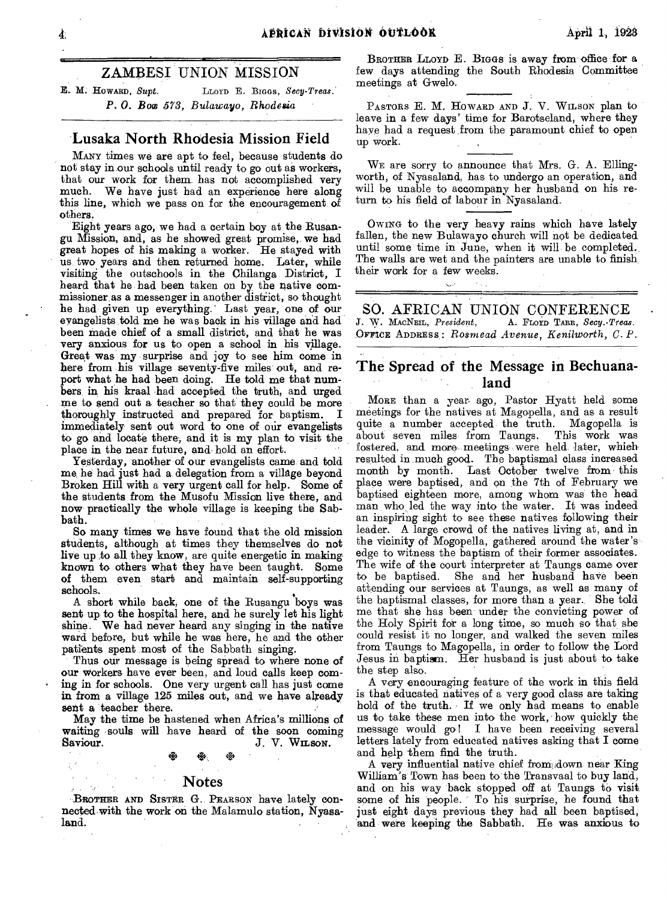$\Delta$ PRICAN bivision outlook  $\Delta$ pril 1, 1928

### ZAMBESI UNION MISSION

*E.* M. HOWARD, *Supt.* LLOYD E. BIGGS, *Secy-Treas. P. 0. Boo 573, Bulawayo, Rhodesia* 

### Lusaka North Rhodesia Mission Field

MANY times we are apt to feel, because students do not stay in our schools until ready to go out as workers, that our work for them has not accomplished very much. We have just had an experience here along this line, which we pass on for the encouragement of others.

Eight years ago, we had a certain boy at the Rusangu Mission, and, as he showed great promise, we had great hopes of his making a worker. He stayed with us, two years and then returned home. Later, while visiting the outschools in the Chilanga District, I heard that he had been taken on by the native commissioner, as a messenger in, another district, so thought he had given up everything.' Last year, one of our evangelists told me he was back in his village and had been made chief of a small district, and that he was very anxious for us to open a school in his village. Great was my surprise and joy to see him come in here from his village seventy-five miles' out, and report what he had been doing. He told me that numbers in his kraal had accepted the truth, and urged me to send out a teacher so that they could be more thoroughly instructed and prepared for baptism. I immediately sent out word to one of our evangelists to go and locate there; and it is my plan to visit the place in the near future, and. hold an effort.

Yesterday, another of our evangelists came and told me, he had just had a. delegation from a village beyond Broken Hill with a very urgent call for help. Some of the students from the Musofu Mission live there, and now practically the whole village is keeping the Sabbath.

So many times we have found that the old mission students, although at times they themselves do not live up to all they know, are quite energetic in making known to others what they have been taught. Some of them even start and maintain self-supporting schools.

A short while back, one of the Rusangu boys was sent up to the hospital here, and he surely let his light shine. We had never heard any singing' in the native ward before, but while he was here, he and the other patients spent most of the Sabbath singing.

Thus our message is being spread to where none of our workers have ever been, and loud calls keep coming in for schools. One very urgent call has just come in from a village 125 miles out, and we have already sent a teacher there.

May the time be hastened when Africa's millions of waiting • souls will have heard of the soon coming • • • Saviour. J. V. WILSON.

### Notes

BROTHER AND SISTER G. PEARSON have lately connected with the work on the Malamulo station, Nyasaland.

BROTHER LLOYD E. BIGGS is away from office for a few days attending the South Rhodesia Committee meetings at Gwela.

PASTORS E. M. HOWARD AND J. V. WILSON plan to leave in a few days' time for Barotseland, where they have had a request from the paramount chief to open up work.

WE are sorry to announce that Mrs. G. A. Ellingworth, of Nyasaland, has to undergo an operation, and will be unable to accompany her husband on his return to his field of labour in Nyasaland.

OWING to the very heavy rains which have lately fallen, the new Bulawayo church will not be dedicated until some time in June, when it will be completed.. The walls are wet and the painters are unable to finish their work for a few weeks.

SO. AFRICAN UNION CONFERENCE.<br>W. MACNEIL, President, A. FLOYD TARR, Secy. Treas.  $J. W. MACNELL, President,$ OFFICE ADDRESS,: *Rosmead Avenue, Kenilworth, C. P.* 

## The Spread of the Message in Bechuanaland

MORE than a year. ago, Pastor Hyatt held some meetings for the natives at Magopella, and as a result quite a number accepted the truth. Magopella is<br>about seven miles from Taungs. This work was about seven miles from Taungs. fostered, and more meetings were held later, which, resulted in, much good. The baptismal class increased month by month. Last October twelve from. this place were baptised, and on the 7th of February we baptised eighteen more, among whom was the head man who led the way into the water. It was indeed an inspiring sight to see these natives following their leader. A large crowd of the natives living at, and in the vicinity of Mogopella, gathered around the water's' edge to witness the baptism of their former associates. The wife of the court interpreter at Taungs came over to be baptised. She and her husband have been attending our services at Taungs, as well as many of the baptismal classes, for more than a year. She told me that she has been under the convicting power of the Holy Spirit for a long time, so much so that she could resist it no longer, and walked the seven miles from Taungs to Magopella, in order to follow the Lord Jesus in baptism. Her husband is just about to take the step also.

A very encouraging feature of the work in this field is that educated natives of a very good class are taking hold of the truth. If we only had means to enable us to take these men into the work, how quickly the message would go! I have been receiving several letters lately from educated natives asking that I come and help 'them find the truth.

A very influential native chief from down near King William's'Town has been to the Transvaal to buy land, and on his way 'back stopped off at Taungs to visit some of his people. To his surprise, he found that just eight days previous they had all been baptised, and were keeping the Sabbath. He was anxious to

4.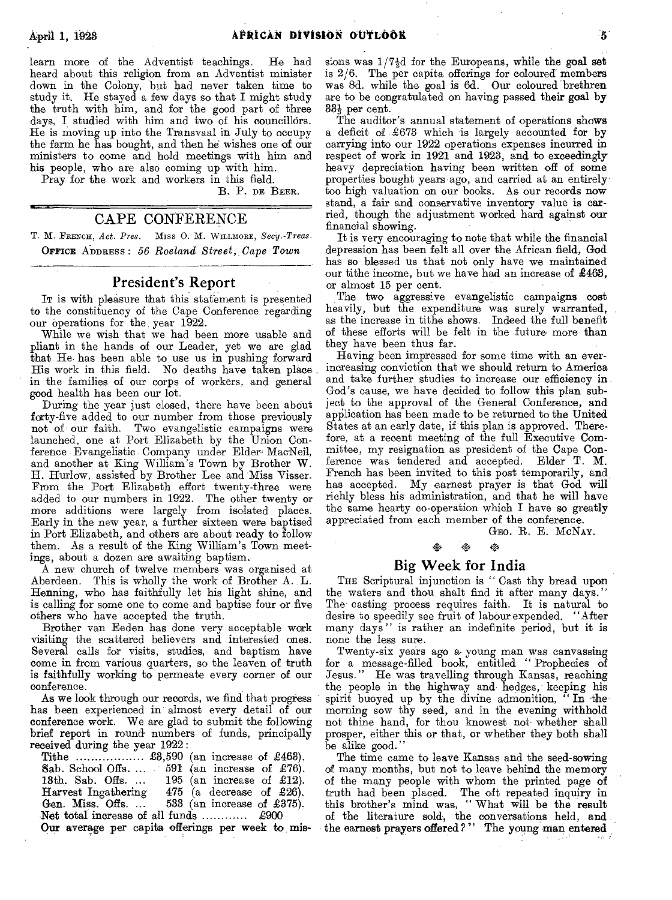learn more of the Adventist teachings. He had heard about this religion from an Adventist minister down in the Colony, but had never taken time to study it. He stayed a few days so that I might study the truth with him, and for the good part of three days, I studied with him and two of his councillors. He is moving up into the Transvaal in July to occupy the farm he has bought, and then he wishes one of our ministers to come and hold meetings with him and his people, who are also coming up with him.

Pray for the work and workers in this field.

B. P. DE BEER.

### CAPE CONFERENCE

T. M. FRENCH, Act. Pres. MISS O. M. WILLMORE, Secy.-Treas. OFFICE ADDRESS : *56 Roeland Street, Cape Town* 

### **President's Report**

IT is with pleasure that this statement is presented to the constituency of the Cape Conference regarding our operations for the, year 1922.

While we wish that we had been more usable and pliant in the hands of our Leader, yet we are glad that He has been able to use us in pushing forward His work in this field. No deaths have taken place in the families of our corps of workers, and general good health has been our lot.

During the year just closed, there have been about forty-five added to our number from those previously not of our faith. Two evangelistic campaigns were launched, one at Port Elizabeth by the Union Conference Evangelistic Company under Elder MacNeil, and another at King William's Town by Brother W. H. Hurlow, assisted by Brother Lee and Miss Visser. From the Port Elizabeth effort twenty-three were added to our numbers in 1922. The other twenty or more additions were largely from isolated places. Early in the new year, a further sixteen were baptised in Port Elizabeth, and others are about ready to follow them. As a result of the King William's Town meetings, about a dozen are awaiting baptism.

A new church of twelve members was organised at Aberdeen. This is wholly the work of Brother A. L. Henning, who has faithfully let his light shine, and is calling for some one to come and baptise four or five others who have accepted the truth.

Brother van Eeden has done very acceptable work visiting the scattered believers and interested ones. Several calls for visits, studies, and baptism have come in from various quarters, so the leaven of truth is faithfully working to permeate every corner of our conference.

As we look through our records, we find that progress has been experienced in almost every detail of our conference work. We are glad to submit the following brief report in round numbers of funds, principally received during the year 1922:

Tithe  $\ldots$ ,  $\ldots$ ,  $\text{\pounds}3,590$  (an increase of £463). Sab. School Offs.  $\ldots$  591 (an increase of £76).<br>13th. Sab. Offs.  $\ldots$  195 (an increase of £12). 13th. Sab. Offs.  $\ldots$  195 (an increase of £12).<br>Harvest Ingathering 475 (a decrease of £26). Harvest Ingathering 475 (a decrease of £26).<br>Gen. Miss. Offs.... 533 (an increase of £375). 533 (an increase of  $£375$ ). Net total increase of all funds  $\ldots$   $\ldots$  £900 Our average per capita offerings per week to missions was  $1/7\frac{1}{2}d$  for the Europeans, while the goal set is 2/6. The per capita offerings for coloured members was 8d. while the goal is 6d. Our coloured brethren are to be congratulated on having passed their goal by  $33\frac{1}{3}$  per cent.

The auditor's annual statement of operations shows a deficit of £673 which is largely accounted for by carrying into our 1922 operations expenses incurred in respect of work in 1921 and 1923, and to exceedingly heavy depreciation having been written off of some properties bought years ago, and carried at an entirely too high valuation on our books. As our records now stand, a fair and conservative inventory value is carried, though the adjustment worked hard against our financial showing.

It is very encouraging to note that while the financial depression has been felt all over the African field, God has so blessed us that not only have we maintained our tithe income, but we have had an increase of £463, or almost 15 per cent.

The two aggressive evangelistic campaigns cost heavily, but the expenditure was surely warranted, as the increase in tithe shows. Indeed the full benefit of these efforts will be felt in the future more than they have been thus far.

Having been impressed for some time with an everincreasing conviction that we should return to America and take further studies to increase our efficiency in God's cause, we have decided to follow this plan subject to the approval of the General Conference, and application has been made to be returned to the United States at an early date, if this plan is approved. Therefore, at a recent meeting of the full Executive Committee, my resignation as president of the Cape Conference was tendered and accepted. Elder T. M. French has been invited to this post temporarily, and has accepted. My earnest prayer is that God will richly bless his administration, and that he will have the same hearty co-operation which I have so greatly appreciated from each member of the conference.

GEO. R. E. MCNAY.

# to to. to

### **Big Week for India**

THE Scriptural injunction is " Cast thy bread upon the waters and thou shalt find it after many days." The casting process requires faith. It is natural to desire to speedily see fruit of labour expended. "After many days" is rather an indefinite period, but it is none the less sure.

Twenty-six years ago a. young man was canvassing for a message-filled book, entitled " Prophecies of Jesus." He was travelling through Kansas, reaching the people in the highway and hedges, keeping his spirit buoyed up by the divine admonition, " In the morning sow thy seed, and in the evening withhold not thine hand, for thou knowest not- whether shall prosper, either this or that, or whether they both shall be alike good.'

The time came to leave Kansas and the seed-sowing of many months, but not to leave behind the memory of the many people with whom the printed page of truth had been placed. The oft repeated inquiry in this brother's mind was, " What will be the result of the literature sold, the conversations held, and the earnest prayers offered ? " The young man entered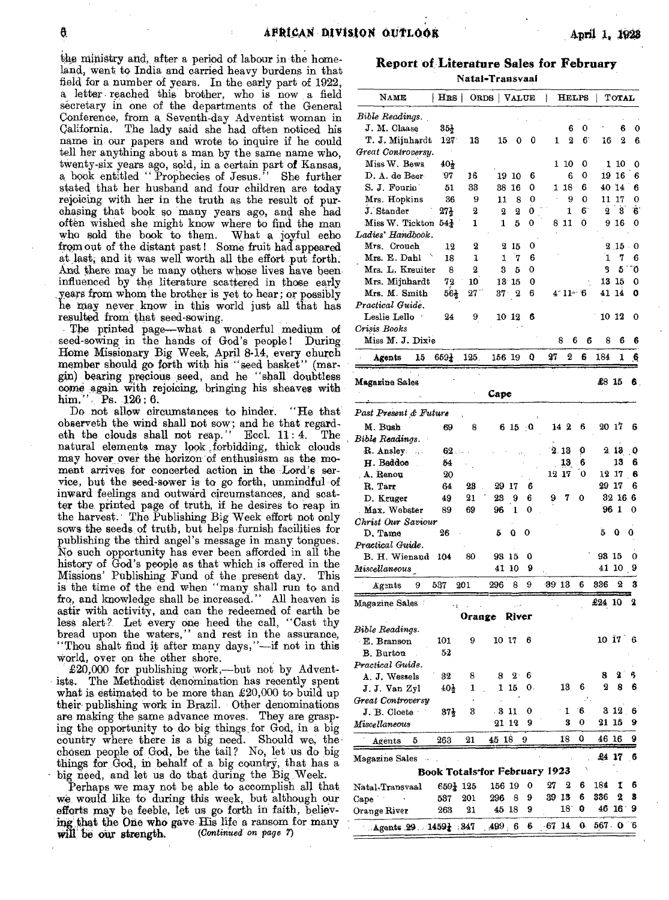the ministry and, after a period of labour in the homeland, went to India and carried heavy burdens in that field for a number of years. In the early part of 1922, a letter reached this brother, who is now a field secretary in one of the departments of the General Conference, from a Seventh-day Adventist woman in California. The lady said she had often noticed his name in our papers and wrote to inquire if he could tell her anything about a man by the same name who, twenty-six years ago, sold, in a certain part of Kansas, a book entitled " Prophecies of Jesus." She further stated that her husband and four children are today rejoicing with her in the truth as the result of purchasing that book, so many years ago, and she had often wished she might know where to find the man who sold the book to them. What a, joyful echo from out of the distant past ! Some fruit had appeared at last, and it was well worth all the effort put forth: And there may be many others whose lives have been influenced by the literature scattered in those early ,years from whom the brother is yet to hear; or possibly he may never, know in this world just all that has resulted from: that seed-sowing,

The printed page—what a wonderful medium of seed-sowing in the hands of God's people! During Horne Missionary Big Week, April 8-14, every church member should go forth with his "seed basket" (margin) bearing precious- seed, and he "shall doubtless come again with rejoicing, bringing his sheaves with him," Ps. 126; 6.

Do not allow circumstances to hinder. "He that observeth the wind shall not sow; and he that regard-<br>eth the clouds shall not reap... Eccl.  $11:4$ . The eth the clouds shall not reap." Eccl.  $11:4$ . natural elements may look forbidding, thick clouds may hover over the horizon of enthusiasm as the moment arrives for concerted action in the Lord's service, but the seed-sower is to go forth, unmindful of inward-feelings and outward circumstances, and scatter the, printed page of truth, if he desires to reap in the harvest.' The Publishing Big Week effort not only sows the seeds, of truth, but helps furnish facilities for publishing the third angel's message in many tongues. No such opportunity has ever been afforded in all the history of God's people as that which is offered in the Missions' Publishing Fund of the present day. This is the time of the end when "many shall run to and fro, and knowledge shall be increased." All heaven is astir with activity, and can the redeemed of earth be less alert? Let every one heed the call, "Cast thy bread upon the waters," and rest in the assurance, "Thou shalt find it after many days,"—if not in this World, over on the other shore.

£20,000 for publishing work,—but not by Adventists. The Methodist denomination has recently spent what is estimated to be more than  $\pounds 20,000$  to build up their publishing work in Brazil. Other denominations are making the same advance moves. They are grasping the opportunity to do big things for God, in a big country where there is a big need. Should we, thechosen people of God, be the tail? No, let us do big things for God, in behalf of a big country, that has a big need, and let us do that during the Big. Week.

Perhaps we may not be able to accomplish all that, we would like to during this week, but although our efforts may be feeble, let us go forth in faith, believing that the One who gave His life a ransom for many will be our strength. (Continued on page 7) will be our strength.

**Report of Literature Sales for February**  Natal-Transvaal

| NAME                            | HRS                  |             | ORDS    | <b>VALUE</b>   |     | ł                                    | <b>HELPS</b> | ł       | <b>TOTAL</b>  |    |
|---------------------------------|----------------------|-------------|---------|----------------|-----|--------------------------------------|--------------|---------|---------------|----|
| Bible Readings.                 |                      |             |         |                |     |                                      |              |         |               |    |
| J. M. Claase                    | $35\frac{1}{2}$      |             |         |                |     |                                      | 6<br>0       |         | 6             | 0  |
| T. J. Mijnhardt                 | $127^{\circ}$        | 13          | 15      | 0              | 0   | 1                                    | 2<br>6       | 16      | 2             | 6. |
| Great Controversy.              |                      |             |         |                |     |                                      |              |         |               |    |
| Miss W. Bews                    | 401                  |             |         |                |     | 1 10                                 | 0            |         | 1 10          | 0  |
| D. A. de Beer                   | 97                   | 16          |         | 19 10          | 6   |                                      | 6<br>0       |         | 19 16         | 6  |
| S. J. Fourie                    | 51                   | 33          |         | 38 16          | 0   | 1 18                                 | 6            |         | 40 14         | 6  |
| Mrs. Hopkins                    | 36                   | 9           | 11      | 8              | 0   |                                      | 0<br>9       | 11      | 17            | 0  |
| J. Stander                      |                      | 2           | 2       | $\overline{2}$ | 0   |                                      | 6<br>1       | 2       | 3             | 6  |
|                                 | $27\frac{1}{2}$      |             |         |                |     |                                      |              |         |               |    |
| Miss W. Tickton $54\frac{1}{2}$ |                      | 1           | 1       | 5              | 0   | 8 11                                 | 0            | 9       | -16           | 0  |
| Ladies' Handbook.               |                      |             |         |                |     |                                      |              |         |               |    |
| Mrs. Crouch                     | 12                   | 2           | 2       | 15             | 0   |                                      |              |         | $2\,15$       | 0  |
| Mrs. E. Dahl                    | 18                   | 1           | 1       | 7              | 6   |                                      |              | 1       | 7             | 6  |
| Mrs. L. Kreuiter                | 8                    | 2           | 3       | 5              | 0   |                                      |              | 3       | 5             | ΰ  |
| Mrs. Mijnhardt                  | 72                   | 10          |         | 13 15          | 0   |                                      |              | 13      | -15           | 0  |
| Mrs. M. Smith                   | $56\frac{1}{2}$      | $27\degree$ |         | 372            | 6   |                                      | $4.11 - 6$   |         | 41 14         | ٥  |
| Practical Guide.                |                      |             |         |                |     |                                      |              |         |               |    |
| Leslie Lello                    | 24                   | 9           |         | 10 12          | 6   |                                      |              |         | 10 12         | 0  |
| Crisis Books                    |                      |             |         |                |     |                                      |              |         |               |    |
| Miss M. J. Dixie                |                      |             |         |                |     | 8                                    | 6            | 6<br>8  | 6             | 6  |
| 15                              | 6591                 | 125.        | 156 19  |                | o   | 27                                   | 2<br>6       | 184     | 1             | ₫. |
| Agents                          |                      |             |         |                |     |                                      |              |         |               |    |
| Magazine Sales                  |                      |             |         |                |     |                                      |              | £8 15   |               | 6. |
|                                 |                      |             | Cape    |                |     |                                      |              |         |               |    |
| Past Present & Future           |                      |             |         |                |     |                                      |              |         |               |    |
| M. Bush                         |                      | 8           |         |                | - 0 | 142                                  | 6            | 20 17   |               | 6  |
|                                 | 69                   |             |         | 6 15           |     |                                      |              |         |               |    |
| Bible Readings.                 |                      |             |         |                |     |                                      |              |         |               |    |
| R. Ansley:<br>vý š              | 62                   |             |         |                |     | 2.13                                 | 0            |         | 213           | 0  |
| H. Beddoe                       | 54                   |             |         |                |     | 13                                   | 6            |         | 13            | 6  |
| A. Renou                        | 20                   |             |         |                |     | 12 17                                | 0            | 12 17   |               | 6  |
| R. Tarr                         | 64                   | 28          | 29      | 17             | 6   |                                      |              | 29 17   |               | 6  |
| D. Kruger                       | 49                   | 21          | 23      | 9              | 6   | 7<br>9                               | 0            | 32      | 166           |    |
| Max. Webster                    | 89                   | 69          | 96      | 1              | 0   |                                      |              | 96      | -1            | 0  |
| Christ Our Saviour              |                      |             |         |                |     |                                      |              |         |               |    |
| D, Tame                         | 26                   |             | 5       | 0              | 0   |                                      |              | 5       | 0             | 0  |
| Practical Guide.                |                      |             |         |                |     |                                      |              |         |               |    |
| B. H. Wienand                   | 104                  | 80          | 93 15   |                | Q   |                                      |              | 93 15   |               | 0  |
| Miscellaneous                   |                      |             | 41 10   |                | 9   |                                      |              | 41      | 10            | 9  |
|                                 |                      |             |         |                |     |                                      | 6            | 336     | 2             | 3  |
| 9<br>Agents                     | 537                  | 201         | 296     | 8              | 9   | 3913                                 |              |         |               |    |
| Magazine Sales -                | ٠,                   |             |         |                |     |                                      |              | £24 10  |               | 2  |
|                                 |                      | vrange      |         | KIV            |     |                                      |              |         |               |    |
| Bible Readings.                 |                      |             |         |                |     |                                      |              |         |               |    |
| · E. Branson                    | 101                  | 9           | 10 17   |                | 6   |                                      |              |         | $10 \t17 \t6$ |    |
| B. Burton                       | 52                   |             |         |                |     |                                      |              |         |               |    |
| Practical Guide.                |                      |             |         |                |     |                                      |              |         |               |    |
| A. J. Wessels                   | 32                   | 8           | 8       | $2^{\cdot}$    | 6   |                                      |              | 8       | 2             | ß, |
|                                 | $40\frac{1}{2}$      | ı           | 1       | -15            | 0.  | 13                                   | 6            | 2       | 8             | 6  |
| J. J. Van Zyl                   |                      |             |         |                |     |                                      | ٠.           |         |               |    |
| Great Controversy               |                      |             |         |                |     |                                      | ΄6           |         | 312           | 6  |
| J. B. Cloete                    | 37†                  | 3           | . 3     | -11            | 0   | $\mathbf{1}$                         |              | 21 15   |               |    |
| Miscellaneous                   |                      |             | 21 12   |                | 9   | 3                                    | 0            |         |               | 9  |
| 5<br>Agents                     | 263                  | 21          | 45 18   |                | 9   | 18                                   | 0            | 46      | 16            | 9  |
| Magazine Sales                  |                      |             |         |                |     |                                      |              | £4 17   |               | -6 |
|                                 |                      |             |         |                |     | <b>Book Totals for February 1923</b> |              |         |               |    |
| Natal-Transvaal                 | $659\frac{1}{4}$ 125 |             | 156 19  |                | 0   | 27<br>2                              | 6            | 184     | Ï             | 6  |
| Cape                            | 537                  | 201         | 296     | 8              | 9   | 39 13                                | 6            | 336     | 2             | 8  |
| Orange River                    | 263                  | 21          | 45 18   |                | 9   | 18.                                  | 0            | 46      | $16^{\circ}$  | 9  |
|                                 |                      |             |         |                |     |                                      |              |         |               |    |
| Agents $29.1459\pm .347$        |                      |             | .499, 6 |                | 6   | 67 14                                | 0.           | 567 0 6 |               |    |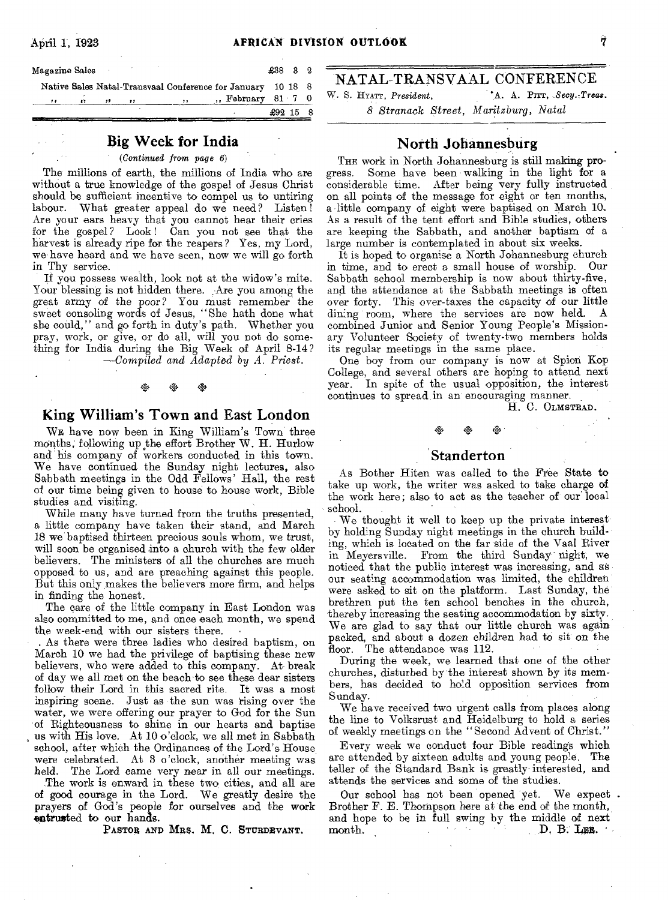| Magazine Sales |    |       |          |     |                                                             | $£38$ 3 2  |  |
|----------------|----|-------|----------|-----|-------------------------------------------------------------|------------|--|
|                |    |       |          |     | Native Sales Natal-Transvaal Conference for January 10 18 8 |            |  |
| 11             | 57 | $, +$ | $\cdots$ | , , | $n$ , February 81 7 0                                       |            |  |
|                |    |       |          |     |                                                             | $£92$ 15 8 |  |

### **Big Week for India**

### *(Continued from page 6)*

The millions of earth, the millions of India who are without a true knowledge of the gospel of Jesus Christ should be sufficient incentive to compel us to untiring labour. What greater appeal do we need? Listen! Are your ears heavy that you cannot hear their cries for the gospel? Look! Can you not see that the harvest is already ripe for the reapers? Yes, my Lord, we have heard and we have seen, now we will go forth in Thy service.

If you possess wealth, look not at the widow's mite. Your blessing is not hidden there. Are you among the great army of the poor? You must remember the sweet consoling words of Jesus, "She hath done what she could," and go forth in duty's path. Whether you pray, work, or give, or do all, will you not do something for India during the Big Week of April 8-14? *—Compiled and Adapted by A. Priest.* 

# • 44 4<sup>4</sup>

### **King William's Town and East London**

WE have now been in King William's Town three months; following up the effort Brother W. H. FIurlow and his company of workers conducted in this town. We have continued the Sunday night lectures, also Sabbath meetings in the Odd Fellows' Hall, the rest of our time being given to house to house work, Bible studies and visiting.

While many have turned from the truths presented, a little company have taken their stand, and March 18 we baptised thirteen precious souls whom, we trust, will soon be organised into a church with the few older believers. The ministers of all the churches are much opposed to us, and are preaching against this people. But this only makes the believers more firm, and helps in finding the honest.

The care of the little company in East London was also committed to me, and once each month, we spend the week-end with our sisters there. •

As there were three ladies who desired baptism, on March 10 we had the privilege of baptising these new believers, who were added to this company. At break of day we all met on the beach-to see these dear sisters follow their Lord in this sacred rite. It was a most inspiring scene. Just as the sun was rising over the water, we were offering our prayer to God for the Sun of Righteousness to shine in our hearts and baptise us with His love. At 10 o'clock, we all met in Sabbath school, after which the Ordinances of the Lord's House were celebrated. At 3 o'clock, another meeting was held. The Lord came very near in all our meetings.

The work is onward in these two cities, and all are of good courage in the Lord. We greatly desire the prayers of God's people for ourselves and the work entrusted to our hands.

PASTOR AND MRS. M. C. STURDEVANT.

### NATAL-TRANSVAAL CONFERENCE W. S. HYATT, *President, '*A.. A. Prrr, *Secy.-Treas.*

*8 Stranack Street, Maritzburg, Natal* 

## **North Johannesburg**

THE work in North Johannesburg is still making progress. Some have been walking in the light for a considerable time. After being very fully instructed on all points of the message for eight or ten months, a little company of eight were baptised on March 10, As a result of the tent effort and Bible studies, others are keeping the Sabbath, and another baptism of a large number is contemplated in about six weeks.

It is hoped to organise a North Johannesburg church in time, and to erect a small house of worship. Our Sabbath school membership is now about thirty-five, and. the attendance at the Sabbath meetings is often over forty. This over-taxes the capacity of our little dining room, where the services are now held. A combined Junior and Senior Young People's Missionary Volunteer Society of twenty-two members holds its regular meetings in the same place.

One boy from our company is now at Spion Kop College, and several others are hoping to attend next year. In spite of the usual opposition, the interest continues to spread in an encouraging manner.

H. C. OLMSTEAD.

### **Standerton**

t<br>\* \* \* \*

As Bother Hiten was called to the Free State to take up work, the writer was asked to take charge of the work here; also to act as the teacher of our local school.

We thought it well to keep up the private interest by holding Sunday night meetings in the church building, which is located on the far side of the Vaal River in Meyersville. From the third Sunday night; we noticed that the public interest was increasing, and as our seating accommodation was limited, the children were asked to sit on the platform. Last Sunday, the brethren put the ten school benches in the church, thereby increasing the seating accommodation by sixty. We are glad to say that our little church was again packed, and about a dozen children had to sit on the floor. The attendance was 112.

During the week, we learned that one of the other churches, disturbed by the interest shown by its members, has decided to hold opposition services from Sunday.

We have received two urgent calls from places along the line to Volksrust and Heidelburg to hold a series of weekly meetings on the "Second Advent of Christ."

Every week we conduct four Bible reading's which are attended by sixteen adults and young people. The teller of the Standard Bank is greatly interested, and attends the services and some of the studies.

Our school has not been opened yet. We expect . Brother F. E. Thompson here at the end of the month, and hope to be in full swing by the middle of next month.  $D$ ,  $B$ . Les.  $D. B. LDB.$